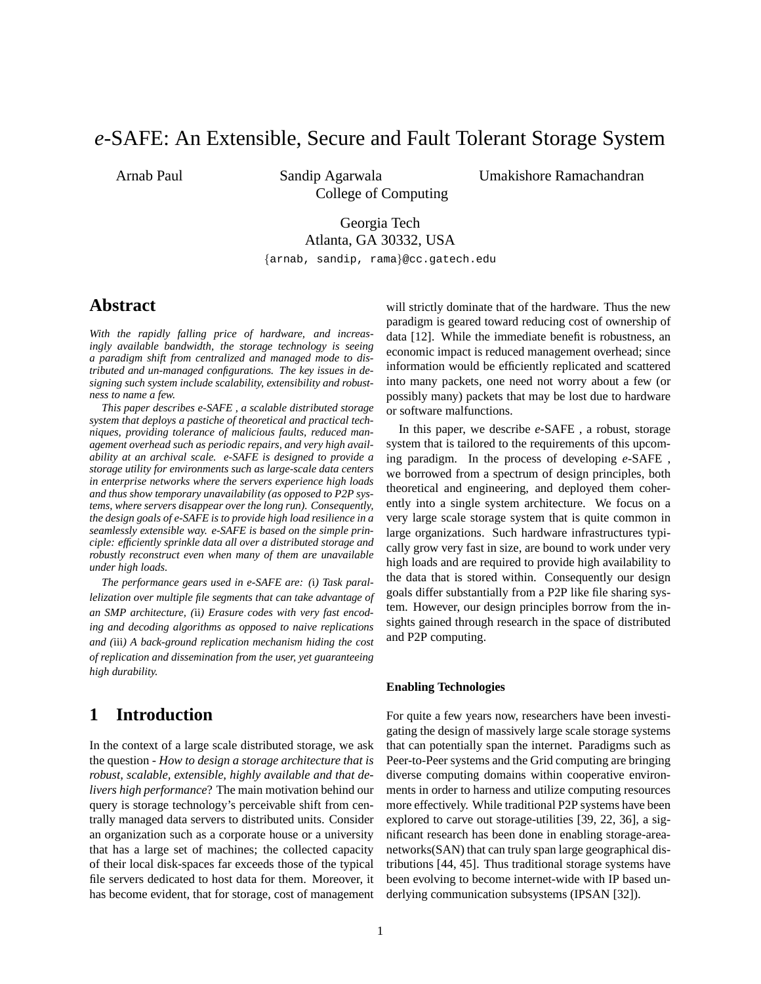# *e*-SAFE: An Extensible, Secure and Fault Tolerant Storage System

Arnab Paul Sandip Agarwala Umakishore Ramachandran College of Computing

# Georgia Tech

Atlanta, GA 30332, USA

{arnab, sandip, rama}@cc.gatech.edu

### **Abstract**

*With the rapidly falling price of hardware, and increasingly available bandwidth, the storage technology is seeing a paradigm shift from centralized and managed mode to distributed and un-managed configurations. The key issues in designing such system include scalability, extensibility and robustness to name a few.*

*This paper describes e-SAFE , a scalable distributed storage system that deploys a pastiche of theoretical and practical techniques, providing tolerance of malicious faults, reduced management overhead such as periodic repairs, and very high availability at an archival scale. e-SAFE is designed to provide a storage utility for environments such as large-scale data centers in enterprise networks where the servers experience high loads and thus show temporary unavailability (as opposed to P2P systems, where servers disappear over the long run). Consequently, the design goals of e-SAFE is to provide high load resilience in a seamlessly extensible way. e-SAFE is based on the simple principle: efficiently sprinkle data all over a distributed storage and robustly reconstruct even when many of them are unavailable under high loads.*

*The performance gears used in e-SAFE are: (*i*) Task parallelization over multiple file segments that can take advantage of an SMP architecture, (*ii*) Erasure codes with very fast encoding and decoding algorithms as opposed to naive replications and (*iii*) A back-ground replication mechanism hiding the cost of replication and dissemination from the user, yet guaranteeing high durability.*

# **1 Introduction**

In the context of a large scale distributed storage, we ask the question - *How to design a storage architecture that is robust, scalable, extensible, highly available and that delivers high performance*? The main motivation behind our query is storage technology's perceivable shift from centrally managed data servers to distributed units. Consider an organization such as a corporate house or a university that has a large set of machines; the collected capacity of their local disk-spaces far exceeds those of the typical file servers dedicated to host data for them. Moreover, it has become evident, that for storage, cost of management

will strictly dominate that of the hardware. Thus the new paradigm is geared toward reducing cost of ownership of data [12]. While the immediate benefit is robustness, an economic impact is reduced management overhead; since information would be efficiently replicated and scattered into many packets, one need not worry about a few (or possibly many) packets that may be lost due to hardware or software malfunctions.

In this paper, we describe *e*-SAFE , a robust, storage system that is tailored to the requirements of this upcoming paradigm. In the process of developing *e*-SAFE , we borrowed from a spectrum of design principles, both theoretical and engineering, and deployed them coherently into a single system architecture. We focus on a very large scale storage system that is quite common in large organizations. Such hardware infrastructures typically grow very fast in size, are bound to work under very high loads and are required to provide high availability to the data that is stored within. Consequently our design goals differ substantially from a P2P like file sharing system. However, our design principles borrow from the insights gained through research in the space of distributed and P2P computing.

#### **Enabling Technologies**

For quite a few years now, researchers have been investigating the design of massively large scale storage systems that can potentially span the internet. Paradigms such as Peer-to-Peer systems and the Grid computing are bringing diverse computing domains within cooperative environments in order to harness and utilize computing resources more effectively. While traditional P2P systems have been explored to carve out storage-utilities [39, 22, 36], a significant research has been done in enabling storage-areanetworks(SAN) that can truly span large geographical distributions [44, 45]. Thus traditional storage systems have been evolving to become internet-wide with IP based underlying communication subsystems (IPSAN [32]).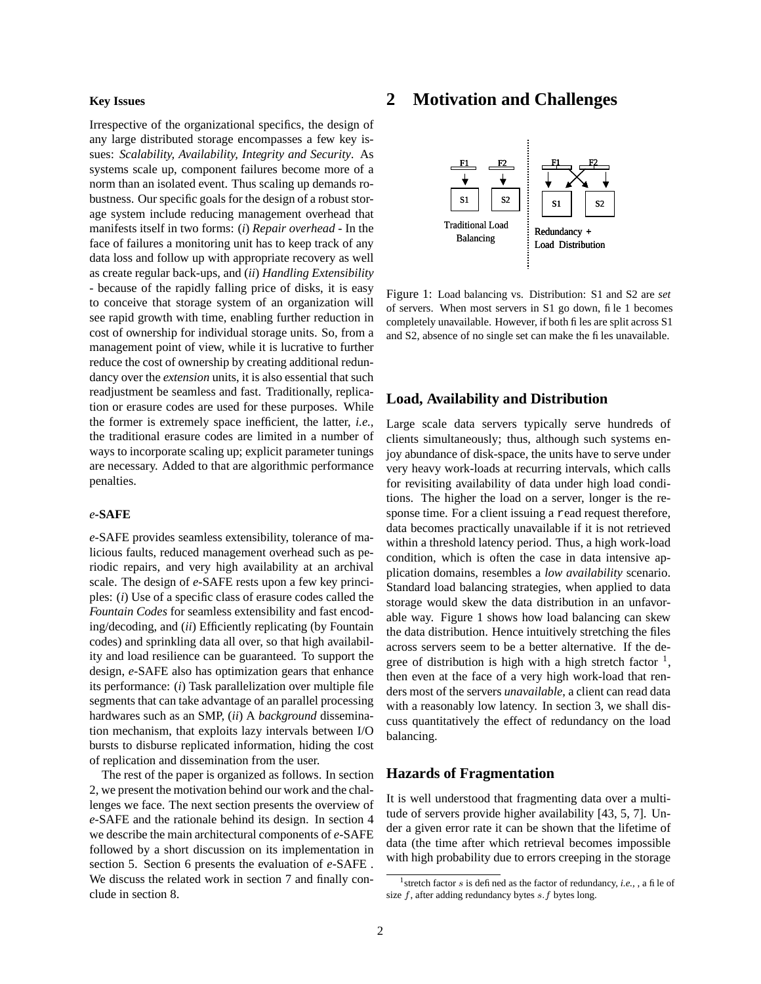#### **Key Issues**

Irrespective of the organizational specifics, the design of any large distributed storage encompasses a few key issues: *Scalability, Availability, Integrity and Security*. As systems scale up, component failures become more of a norm than an isolated event. Thus scaling up demands robustness. Our specific goals for the design of a robust storage system include reducing management overhead that manifests itself in two forms: (*i*) *Repair overhead -* In the face of failures a monitoring unit has to keep track of any data loss and follow up with appropriate recovery as well as create regular back-ups, and (*ii*) *Handling Extensibility* - because of the rapidly falling price of disks, it is easy to conceive that storage system of an organization will see rapid growth with time, enabling further reduction in cost of ownership for individual storage units. So, from a management point of view, while it is lucrative to further reduce the cost of ownership by creating additional redundancy over the *extension* units, it is also essential that such readjustment be seamless and fast. Traditionally, replication or erasure codes are used for these purposes. While the former is extremely space inefficient, the latter, *i.e.,* the traditional erasure codes are limited in a number of ways to incorporate scaling up; explicit parameter tunings are necessary. Added to that are algorithmic performance penalties.

#### *e***-SAFE**

*e*-SAFE provides seamless extensibility, tolerance of malicious faults, reduced management overhead such as periodic repairs, and very high availability at an archival scale. The design of *e*-SAFE rests upon a few key principles: (*i*) Use of a specific class of erasure codes called the *Fountain Codes* for seamless extensibility and fast encoding/decoding, and (*ii*) Efficiently replicating (by Fountain codes) and sprinkling data all over, so that high availability and load resilience can be guaranteed. To support the design, *e*-SAFE also has optimization gears that enhance its performance: (*i*) Task parallelization over multiple file segments that can take advantage of an parallel processing hardwares such as an SMP, (*ii*) A *background* dissemination mechanism, that exploits lazy intervals between I/O bursts to disburse replicated information, hiding the cost of replication and dissemination from the user.

The rest of the paper is organized as follows. In section 2, we present the motivation behind our work and the challenges we face. The next section presents the overview of *e*-SAFE and the rationale behind its design. In section 4 we describe the main architectural components of *e*-SAFE followed by a short discussion on its implementation in section 5. Section 6 presents the evaluation of *e*-SAFE . We discuss the related work in section 7 and finally conclude in section 8.

### **2 Motivation and Challenges**



Figure 1: Load balancing vs. Distribution: S1 and S2 are *set* of servers. When most servers in S1 go down, file 1 becomes completely unavailable. However, if both files are split across S1 and S2, absence of no single set can make the files unavailable.

### **Load, Availability and Distribution**

Large scale data servers typically serve hundreds of clients simultaneously; thus, although such systems enjoy abundance of disk-space, the units have to serve under very heavy work-loads at recurring intervals, which calls for revisiting availability of data under high load conditions. The higher the load on a server, longer is the response time. For a client issuing a read request therefore, data becomes practically unavailable if it is not retrieved within a threshold latency period. Thus, a high work-load condition, which is often the case in data intensive application domains, resembles a *low availability* scenario. Standard load balancing strategies, when applied to data storage would skew the data distribution in an unfavorable way. Figure 1 shows how load balancing can skew the data distribution. Hence intuitively stretching the files across servers seem to be a better alternative. If the degree of distribution is high with a high stretch factor  $\frac{1}{1}$ , then even at the face of a very high work-load that renders most of the servers *unavailable*, a client can read data with a reasonably low latency. In section 3, we shall discuss quantitatively the effect of redundancy on the load balancing.

### **Hazards of Fragmentation**

It is well understood that fragmenting data over a multitude of servers provide higher availability [43, 5, 7]. Under a given error rate it can be shown that the lifetime of data (the time after which retrieval becomes impossible with high probability due to errors creeping in the storage

<sup>1</sup> stretch factor s is defined as the factor of redundancy, *i.e.,* , a file of size  $f$ , after adding redundancy bytes  $s.f$  bytes long.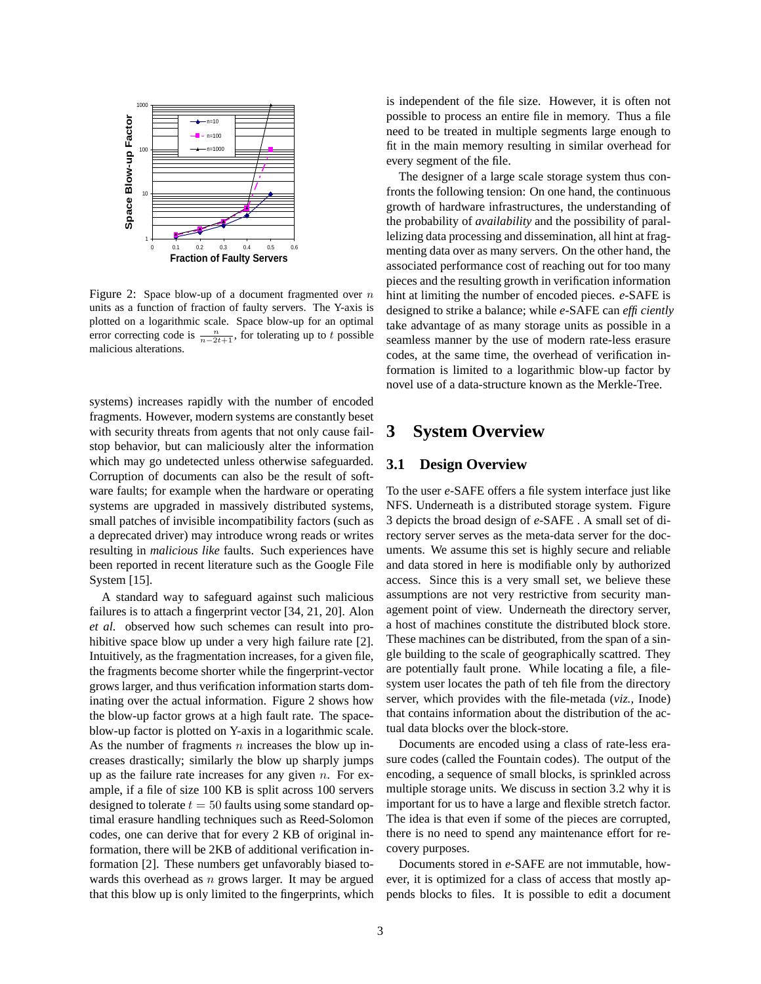

Figure 2: Space blow-up of a document fragmented over  $n$ units as a function of fraction of faulty servers. The Y-axis is plotted on a logarithmic scale. Space blow-up for an optimal error correcting code is  $\frac{n}{n-2t+1}$ , for tolerating up to t possible malicious alterations.

systems) increases rapidly with the number of encoded fragments. However, modern systems are constantly beset with security threats from agents that not only cause failstop behavior, but can maliciously alter the information which may go undetected unless otherwise safeguarded. Corruption of documents can also be the result of software faults; for example when the hardware or operating systems are upgraded in massively distributed systems, small patches of invisible incompatibility factors (such as a deprecated driver) may introduce wrong reads or writes resulting in *malicious like* faults. Such experiences have been reported in recent literature such as the Google File System [15].

A standard way to safeguard against such malicious failures is to attach a fingerprint vector [34, 21, 20]. Alon *et al.* observed how such schemes can result into prohibitive space blow up under a very high failure rate [2]. Intuitively, as the fragmentation increases, for a given file, the fragments become shorter while the fingerprint-vector grows larger, and thus verification information starts dominating over the actual information. Figure 2 shows how the blow-up factor grows at a high fault rate. The spaceblow-up factor is plotted on Y-axis in a logarithmic scale. As the number of fragments  $n$  increases the blow up increases drastically; similarly the blow up sharply jumps up as the failure rate increases for any given  $n$ . For example, if a file of size 100 KB is split across 100 servers designed to tolerate  $t = 50$  faults using some standard optimal erasure handling techniques such as Reed-Solomon codes, one can derive that for every 2 KB of original information, there will be 2KB of additional verification information [2]. These numbers get unfavorably biased towards this overhead as  $n$  grows larger. It may be argued that this blow up is only limited to the fingerprints, which is independent of the file size. However, it is often not possible to process an entire file in memory. Thus a file need to be treated in multiple segments large enough to fit in the main memory resulting in similar overhead for every segment of the file.

The designer of a large scale storage system thus confronts the following tension: On one hand, the continuous growth of hardware infrastructures, the understanding of the probability of *availability* and the possibility of parallelizing data processing and dissemination, all hint at fragmenting data over as many servers. On the other hand, the associated performance cost of reaching out for too many pieces and the resulting growth in verification information hint at limiting the number of encoded pieces. *e*-SAFE is designed to strike a balance; while *e*-SAFE can *efficiently* take advantage of as many storage units as possible in a seamless manner by the use of modern rate-less erasure codes, at the same time, the overhead of verification information is limited to a logarithmic blow-up factor by novel use of a data-structure known as the Merkle-Tree.

### **3 System Overview**

### **3.1 Design Overview**

To the user *e*-SAFE offers a file system interface just like NFS. Underneath is a distributed storage system. Figure 3 depicts the broad design of *e*-SAFE . A small set of directory server serves as the meta-data server for the documents. We assume this set is highly secure and reliable and data stored in here is modifiable only by authorized access. Since this is a very small set, we believe these assumptions are not very restrictive from security management point of view. Underneath the directory server, a host of machines constitute the distributed block store. These machines can be distributed, from the span of a single building to the scale of geographically scattred. They are potentially fault prone. While locating a file, a filesystem user locates the path of teh file from the directory server, which provides with the file-metada (*viz.,* Inode) that contains information about the distribution of the actual data blocks over the block-store.

Documents are encoded using a class of rate-less erasure codes (called the Fountain codes). The output of the encoding, a sequence of small blocks, is sprinkled across multiple storage units. We discuss in section 3.2 why it is important for us to have a large and flexible stretch factor. The idea is that even if some of the pieces are corrupted, there is no need to spend any maintenance effort for recovery purposes.

Documents stored in *e*-SAFE are not immutable, however, it is optimized for a class of access that mostly appends blocks to files. It is possible to edit a document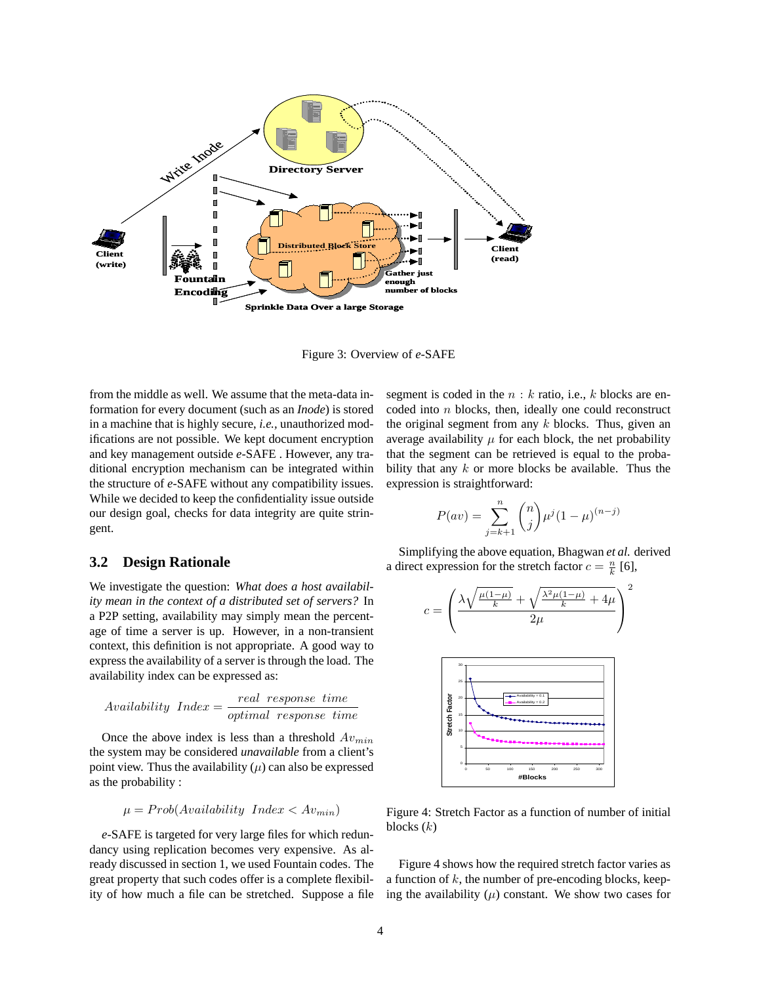

Figure 3: Overview of *e*-SAFE

from the middle as well. We assume that the meta-data information for every document (such as an *Inode*) is stored in a machine that is highly secure, *i.e.,* unauthorized modifications are not possible. We kept document encryption and key management outside *e*-SAFE . However, any traditional encryption mechanism can be integrated within the structure of *e*-SAFE without any compatibility issues. While we decided to keep the confidentiality issue outside our design goal, checks for data integrity are quite stringent.

#### **3.2 Design Rationale**

We investigate the question: *What does a host availability mean in the context of a distributed set of servers?* In a P2P setting, availability may simply mean the percentage of time a server is up. However, in a non-transient context, this definition is not appropriate. A good way to express the availability of a server is through the load. The availability index can be expressed as:

$$
Availability \ Index = \frac{real \ response \ time}{optimal \ response \ time}
$$

Once the above index is less than a threshold  $Av_{min}$ the system may be considered *unavailable* from a client's point view. Thus the availability  $(\mu)$  can also be expressed as the probability :

$$
\mu = Prob(Avalidibility \ Index < Av_{min})
$$

*e*-SAFE is targeted for very large files for which redundancy using replication becomes very expensive. As already discussed in section 1, we used Fountain codes. The great property that such codes offer is a complete flexibility of how much a file can be stretched. Suppose a file segment is coded in the  $n : k$  ratio, i.e., k blocks are encoded into n blocks, then, ideally one could reconstruct the original segment from any  $k$  blocks. Thus, given an average availability  $\mu$  for each block, the net probability that the segment can be retrieved is equal to the probability that any  $k$  or more blocks be available. Thus the expression is straightforward:

$$
P(av) = \sum_{j=k+1}^{n} {n \choose j} \mu^{j} (1 - \mu)^{(n-j)}
$$

Simplifying the above equation, Bhagwan *et al.* derived a direct expression for the stretch factor  $c = \frac{n}{k}$  [6],



Figure 4: Stretch Factor as a function of number of initial blocks  $(k)$ 

Figure 4 shows how the required stretch factor varies as a function of  $k$ , the number of pre-encoding blocks, keeping the availability  $(\mu)$  constant. We show two cases for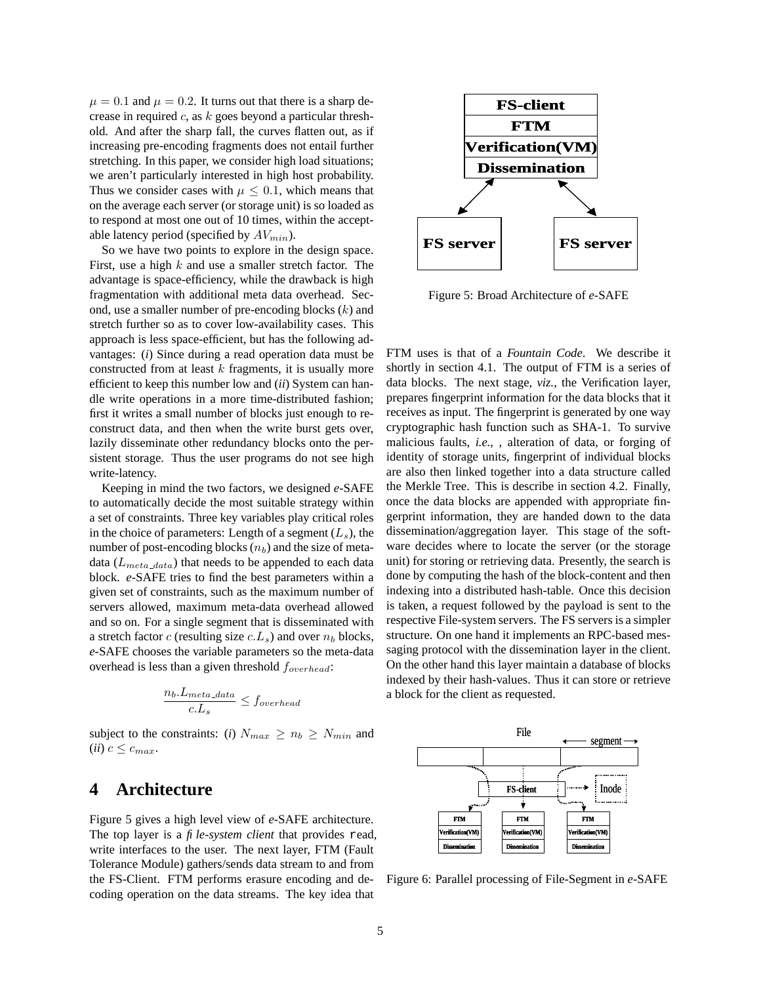$\mu = 0.1$  and  $\mu = 0.2$ . It turns out that there is a sharp decrease in required  $c$ , as  $k$  goes beyond a particular threshold. And after the sharp fall, the curves flatten out, as if increasing pre-encoding fragments does not entail further stretching. In this paper, we consider high load situations; we aren't particularly interested in high host probability. Thus we consider cases with  $\mu \leq 0.1$ , which means that on the average each server (or storage unit) is so loaded as to respond at most one out of 10 times, within the acceptable latency period (specified by  $AV_{min}$ ).

So we have two points to explore in the design space. First, use a high  $k$  and use a smaller stretch factor. The advantage is space-efficiency, while the drawback is high fragmentation with additional meta data overhead. Second, use a smaller number of pre-encoding blocks  $(k)$  and stretch further so as to cover low-availability cases. This approach is less space-efficient, but has the following advantages: (*i*) Since during a read operation data must be constructed from at least  $k$  fragments, it is usually more efficient to keep this number low and (*ii*) System can handle write operations in a more time-distributed fashion; first it writes a small number of blocks just enough to reconstruct data, and then when the write burst gets over, lazily disseminate other redundancy blocks onto the persistent storage. Thus the user programs do not see high write-latency.

Keeping in mind the two factors, we designed *e*-SAFE to automatically decide the most suitable strategy within a set of constraints. Three key variables play critical roles in the choice of parameters: Length of a segment  $(L_s)$ , the number of post-encoding blocks  $(n_b)$  and the size of metadata ( $L_{meta\_data}$ ) that needs to be appended to each data block. *e*-SAFE tries to find the best parameters within a given set of constraints, such as the maximum number of servers allowed, maximum meta-data overhead allowed and so on. For a single segment that is disseminated with a stretch factor c (resulting size  $c.L_s$ ) and over  $n_b$  blocks, *e*-SAFE chooses the variable parameters so the meta-data overhead is less than a given threshold  $f_{overhead}$ :

$$
\frac{n_b.L_{meta\_data}}{c.L_s} \leq f_{overhead}
$$

subject to the constraints: (*i*)  $N_{max} \geq n_b \geq N_{min}$  and (*ii*)  $c \leq c_{max}$ .

# **4 Architecture**

Figure 5 gives a high level view of *e*-SAFE architecture. The top layer is a *file-system client* that provides read, write interfaces to the user. The next layer, FTM (Fault Tolerance Module) gathers/sends data stream to and from the FS-Client. FTM performs erasure encoding and decoding operation on the data streams. The key idea that



Figure 5: Broad Architecture of *e*-SAFE

FTM uses is that of a *Fountain Code*. We describe it shortly in section 4.1. The output of FTM is a series of data blocks. The next stage, *viz.,* the Verification layer, prepares fingerprint information for the data blocks that it receives as input. The fingerprint is generated by one way cryptographic hash function such as SHA-1. To survive malicious faults, *i.e.,* , alteration of data, or forging of identity of storage units, fingerprint of individual blocks are also then linked together into a data structure called the Merkle Tree. This is describe in section 4.2. Finally, once the data blocks are appended with appropriate fingerprint information, they are handed down to the data dissemination/aggregation layer. This stage of the software decides where to locate the server (or the storage unit) for storing or retrieving data. Presently, the search is done by computing the hash of the block-content and then indexing into a distributed hash-table. Once this decision is taken, a request followed by the payload is sent to the respective File-system servers. The FS serversis a simpler structure. On one hand it implements an RPC-based messaging protocol with the dissemination layer in the client. On the other hand this layer maintain a database of blocks indexed by their hash-values. Thus it can store or retrieve a block for the client as requested.



Figure 6: Parallel processing of File-Segment in *e*-SAFE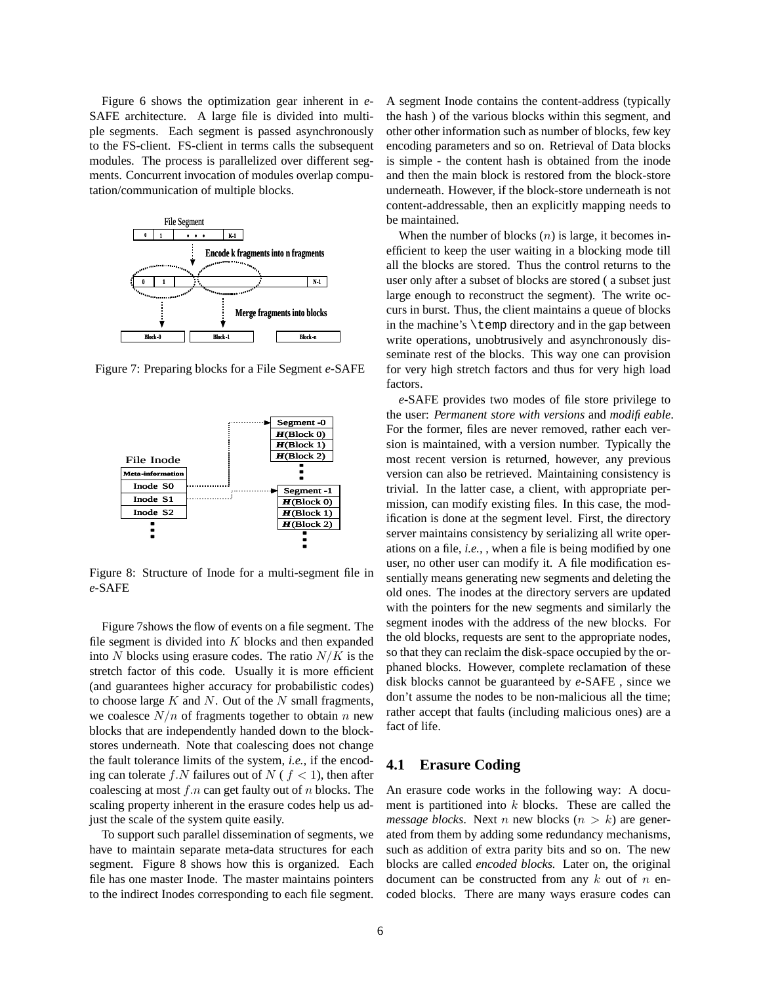Figure 6 shows the optimization gear inherent in *e*-SAFE architecture. A large file is divided into multiple segments. Each segment is passed asynchronously to the FS-client. FS-client in terms calls the subsequent modules. The process is parallelized over different segments. Concurrent invocation of modules overlap computation/communication of multiple blocks.



Figure 7: Preparing blocks for a File Segment *e*-SAFE



Figure 8: Structure of Inode for a multi-segment file in *e*-SAFE

Figure 7shows the flow of events on a file segment. The file segment is divided into  $K$  blocks and then expanded into N blocks using erasure codes. The ratio  $N/K$  is the stretch factor of this code. Usually it is more efficient (and guarantees higher accuracy for probabilistic codes) to choose large  $K$  and  $N$ . Out of the  $N$  small fragments, we coalesce  $N/n$  of fragments together to obtain n new blocks that are independently handed down to the blockstores underneath. Note that coalescing does not change the fault tolerance limits of the system, *i.e.,* if the encoding can tolerate f.N failures out of  $N$  ( $f < 1$ ), then after coalescing at most  $f \cdot n$  can get faulty out of n blocks. The scaling property inherent in the erasure codes help us adjust the scale of the system quite easily.

To support such parallel dissemination of segments, we have to maintain separate meta-data structures for each segment. Figure 8 shows how this is organized. Each file has one master Inode. The master maintains pointers to the indirect Inodes corresponding to each file segment.

A segment Inode contains the content-address (typically the hash ) of the various blocks within this segment, and other other information such as number of blocks, few key encoding parameters and so on. Retrieval of Data blocks is simple - the content hash is obtained from the inode and then the main block is restored from the block-store underneath. However, if the block-store underneath is not content-addressable, then an explicitly mapping needs to be maintained.

When the number of blocks  $(n)$  is large, it becomes inefficient to keep the user waiting in a blocking mode till all the blocks are stored. Thus the control returns to the user only after a subset of blocks are stored ( a subset just large enough to reconstruct the segment). The write occurs in burst. Thus, the client maintains a queue of blocks in the machine's  $\temph{\text{circ}}$  and in the gap between write operations, unobtrusively and asynchronously disseminate rest of the blocks. This way one can provision for very high stretch factors and thus for very high load factors.

*e*-SAFE provides two modes of file store privilege to the user: *Permanent store with versions* and *modifieable*. For the former, files are never removed, rather each version is maintained, with a version number. Typically the most recent version is returned, however, any previous version can also be retrieved. Maintaining consistency is trivial. In the latter case, a client, with appropriate permission, can modify existing files. In this case, the modification is done at the segment level. First, the directory server maintains consistency by serializing all write operations on a file, *i.e.,* , when a file is being modified by one user, no other user can modify it. A file modification essentially means generating new segments and deleting the old ones. The inodes at the directory servers are updated with the pointers for the new segments and similarly the segment inodes with the address of the new blocks. For the old blocks, requests are sent to the appropriate nodes, so that they can reclaim the disk-space occupied by the orphaned blocks. However, complete reclamation of these disk blocks cannot be guaranteed by *e*-SAFE , since we don't assume the nodes to be non-malicious all the time; rather accept that faults (including malicious ones) are a fact of life.

### **4.1 Erasure Coding**

An erasure code works in the following way: A document is partitioned into  $k$  blocks. These are called the *message blocks*. Next *n* new blocks  $(n > k)$  are generated from them by adding some redundancy mechanisms, such as addition of extra parity bits and so on. The new blocks are called *encoded blocks.* Later on, the original document can be constructed from any  $k$  out of  $n$  encoded blocks. There are many ways erasure codes can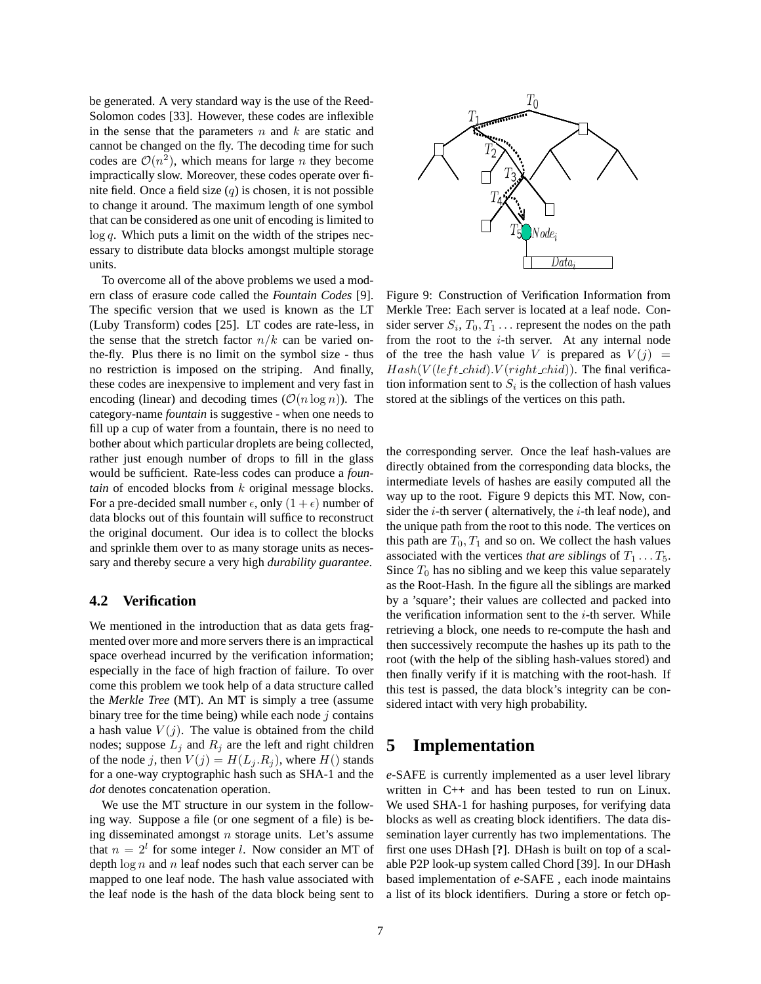be generated. A very standard way is the use of the Reed-Solomon codes [33]. However, these codes are inflexible in the sense that the parameters  $n$  and  $k$  are static and cannot be changed on the fly. The decoding time for such codes are  $\mathcal{O}(n^2)$ , which means for large *n* they become impractically slow. Moreover, these codes operate over finite field. Once a field size  $(q)$  is chosen, it is not possible to change it around. The maximum length of one symbol that can be considered as one unit of encoding is limited to  $log q$ . Which puts a limit on the width of the stripes necessary to distribute data blocks amongst multiple storage units.

To overcome all of the above problems we used a modern class of erasure code called the *Fountain Codes* [9]. The specific version that we used is known as the LT (Luby Transform) codes [25]. LT codes are rate-less, in the sense that the stretch factor  $n/k$  can be varied onthe-fly. Plus there is no limit on the symbol size - thus no restriction is imposed on the striping. And finally, these codes are inexpensive to implement and very fast in encoding (linear) and decoding times  $(\mathcal{O}(n \log n))$ . The category-name *fountain* is suggestive - when one needs to fill up a cup of water from a fountain, there is no need to bother about which particular droplets are being collected, rather just enough number of drops to fill in the glass would be sufficient. Rate-less codes can produce a *fountain* of encoded blocks from k original message blocks. For a pre-decided small number  $\epsilon$ , only  $(1 + \epsilon)$  number of data blocks out of this fountain will suffice to reconstruct the original document. Our idea is to collect the blocks and sprinkle them over to as many storage units as necessary and thereby secure a very high *durability guarantee*.

### **4.2 Verification**

We mentioned in the introduction that as data gets fragmented over more and more servers there is an impractical space overhead incurred by the verification information; especially in the face of high fraction of failure. To over come this problem we took help of a data structure called the *Merkle Tree* (MT). An MT is simply a tree (assume binary tree for the time being) while each node  $j$  contains a hash value  $V(j)$ . The value is obtained from the child nodes; suppose  $L_i$  and  $R_i$  are the left and right children of the node j, then  $V(j) = H(L_j, R_j)$ , where  $H(j)$  stands for a one-way cryptographic hash such as SHA-1 and the *dot* denotes concatenation operation.

We use the MT structure in our system in the following way. Suppose a file (or one segment of a file) is being disseminated amongst  $n$  storage units. Let's assume that  $n = 2^l$  for some integer l. Now consider an MT of depth  $\log n$  and n leaf nodes such that each server can be mapped to one leaf node. The hash value associated with the leaf node is the hash of the data block being sent to



Figure 9: Construction of Verification Information from Merkle Tree: Each server is located at a leaf node. Consider server  $S_i$ ,  $T_0$ ,  $T_1$ ... represent the nodes on the path from the root to the  $i$ -th server. At any internal node of the tree the hash value V is prepared as  $V(j)$  =  $Hash(V(left\_child).V(right\_child))$ . The final verification information sent to  $S_i$  is the collection of hash values stored at the siblings of the vertices on this path.

the corresponding server. Once the leaf hash-values are directly obtained from the corresponding data blocks, the intermediate levels of hashes are easily computed all the way up to the root. Figure 9 depicts this MT. Now, consider the  $i$ -th server ( alternatively, the  $i$ -th leaf node), and the unique path from the root to this node. The vertices on this path are  $T_0$ ,  $T_1$  and so on. We collect the hash values associated with the vertices *that are siblings* of  $T_1 \ldots T_5$ . Since  $T_0$  has no sibling and we keep this value separately as the Root-Hash. In the figure all the siblings are marked by a 'square'; their values are collected and packed into the verification information sent to the  $i$ -th server. While retrieving a block, one needs to re-compute the hash and then successively recompute the hashes up its path to the root (with the help of the sibling hash-values stored) and then finally verify if it is matching with the root-hash. If this test is passed, the data block's integrity can be considered intact with very high probability.

### **5 Implementation**

*e*-SAFE is currently implemented as a user level library written in C++ and has been tested to run on Linux. We used SHA-1 for hashing purposes, for verifying data blocks as well as creating block identifiers. The data dissemination layer currently has two implementations. The first one uses DHash [**?**]. DHash is built on top of a scalable P2P look-up system called Chord [39]. In our DHash based implementation of *e*-SAFE , each inode maintains a list of its block identifiers. During a store or fetch op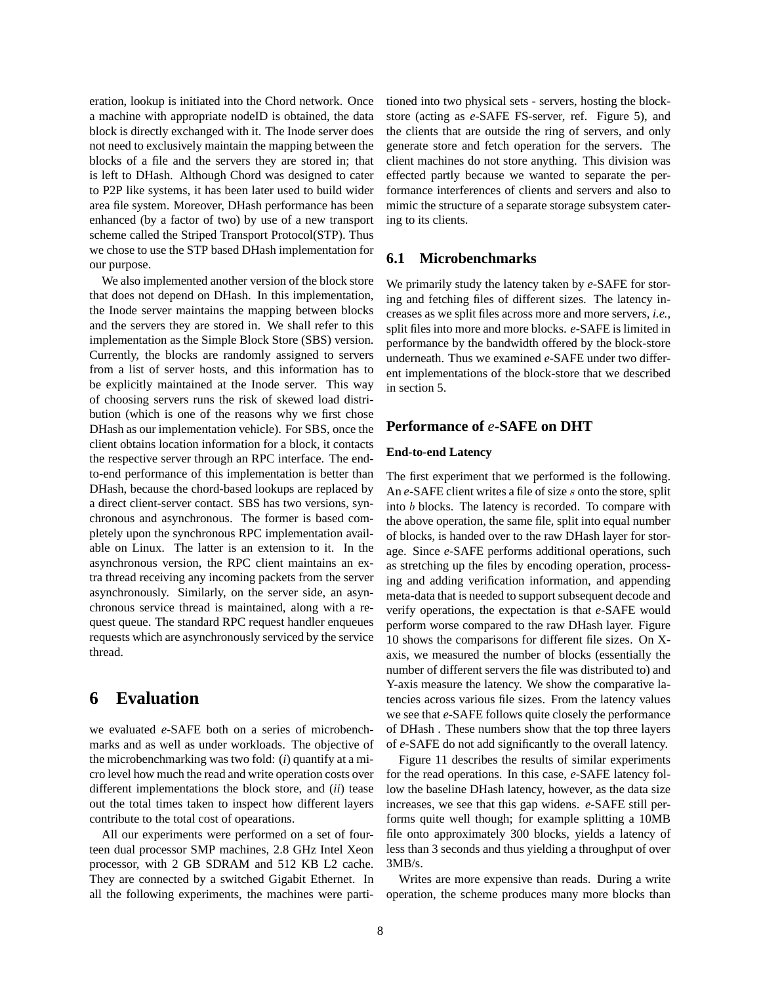eration, lookup is initiated into the Chord network. Once a machine with appropriate nodeID is obtained, the data block is directly exchanged with it. The Inode server does not need to exclusively maintain the mapping between the blocks of a file and the servers they are stored in; that is left to DHash. Although Chord was designed to cater to P2P like systems, it has been later used to build wider area file system. Moreover, DHash performance has been enhanced (by a factor of two) by use of a new transport scheme called the Striped Transport Protocol(STP). Thus we chose to use the STP based DHash implementation for our purpose.

We also implemented another version of the block store that does not depend on DHash. In this implementation, the Inode server maintains the mapping between blocks and the servers they are stored in. We shall refer to this implementation as the Simple Block Store (SBS) version. Currently, the blocks are randomly assigned to servers from a list of server hosts, and this information has to be explicitly maintained at the Inode server. This way of choosing servers runs the risk of skewed load distribution (which is one of the reasons why we first chose DHash as our implementation vehicle). For SBS, once the client obtains location information for a block, it contacts the respective server through an RPC interface. The endto-end performance of this implementation is better than DHash, because the chord-based lookups are replaced by a direct client-server contact. SBS has two versions, synchronous and asynchronous. The former is based completely upon the synchronous RPC implementation available on Linux. The latter is an extension to it. In the asynchronous version, the RPC client maintains an extra thread receiving any incoming packets from the server asynchronously. Similarly, on the server side, an asynchronous service thread is maintained, along with a request queue. The standard RPC request handler enqueues requests which are asynchronously serviced by the service thread.

# **6 Evaluation**

we evaluated *e*-SAFE both on a series of microbenchmarks and as well as under workloads. The objective of the microbenchmarking was two fold: (*i*) quantify at a micro level how much the read and write operation costs over different implementations the block store, and (*ii*) tease out the total times taken to inspect how different layers contribute to the total cost of opearations.

All our experiments were performed on a set of fourteen dual processor SMP machines, 2.8 GHz Intel Xeon processor, with 2 GB SDRAM and 512 KB L2 cache. They are connected by a switched Gigabit Ethernet. In all the following experiments, the machines were parti-

tioned into two physical sets - servers, hosting the blockstore (acting as *e*-SAFE FS-server, ref. Figure 5), and the clients that are outside the ring of servers, and only generate store and fetch operation for the servers. The client machines do not store anything. This division was effected partly because we wanted to separate the performance interferences of clients and servers and also to mimic the structure of a separate storage subsystem catering to its clients.

### **6.1 Microbenchmarks**

We primarily study the latency taken by *e*-SAFE for storing and fetching files of different sizes. The latency increases as we split files across more and more servers, *i.e.,* split files into more and more blocks. *e*-SAFE is limited in performance by the bandwidth offered by the block-store underneath. Thus we examined *e*-SAFE under two different implementations of the block-store that we described in section 5.

### **Performance of** *e***-SAFE on DHT**

#### **End-to-end Latency**

The first experiment that we performed is the following. An *e*-SAFE client writes a file of size s onto the store, split into b blocks. The latency is recorded. To compare with the above operation, the same file, split into equal number of blocks, is handed over to the raw DHash layer for storage. Since *e*-SAFE performs additional operations, such as stretching up the files by encoding operation, processing and adding verification information, and appending meta-data that is needed to support subsequent decode and verify operations, the expectation is that *e*-SAFE would perform worse compared to the raw DHash layer. Figure 10 shows the comparisons for different file sizes. On Xaxis, we measured the number of blocks (essentially the number of different servers the file was distributed to) and Y-axis measure the latency. We show the comparative latencies across various file sizes. From the latency values we see that *e*-SAFE follows quite closely the performance of DHash . These numbers show that the top three layers of *e*-SAFE do not add significantly to the overall latency.

Figure 11 describes the results of similar experiments for the read operations. In this case, *e*-SAFE latency follow the baseline DHash latency, however, as the data size increases, we see that this gap widens. *e*-SAFE still performs quite well though; for example splitting a 10MB file onto approximately 300 blocks, yields a latency of less than 3 seconds and thus yielding a throughput of over 3MB/s.

Writes are more expensive than reads. During a write operation, the scheme produces many more blocks than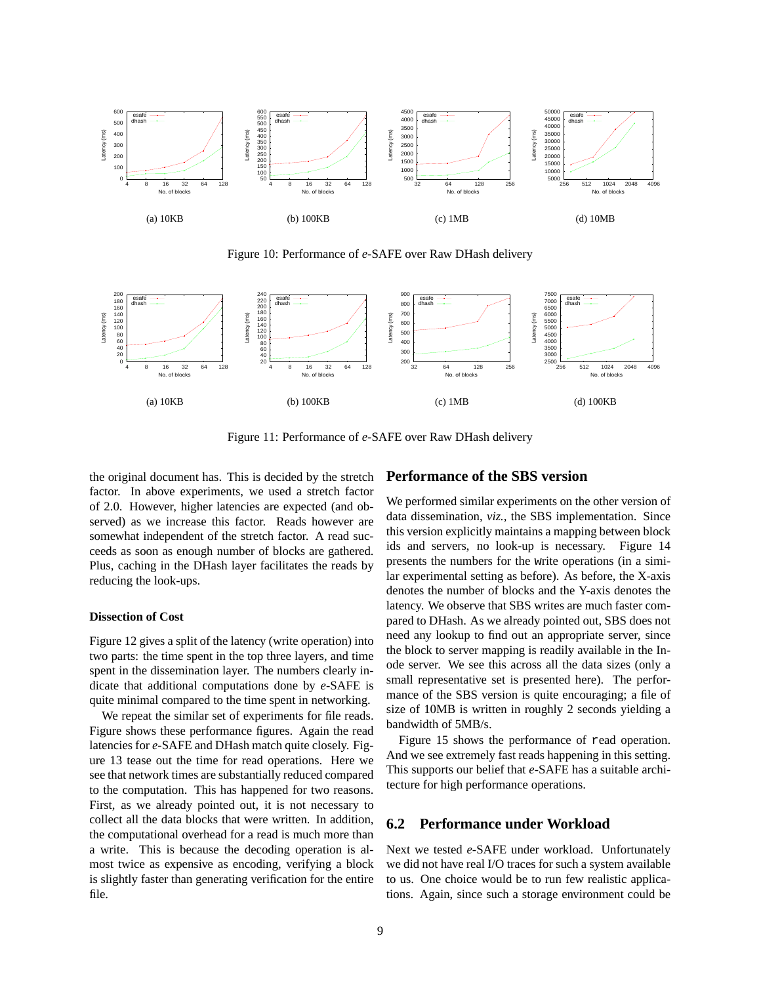

Figure 10: Performance of *e*-SAFE over Raw DHash delivery



Figure 11: Performance of *e*-SAFE over Raw DHash delivery

the original document has. This is decided by the stretch factor. In above experiments, we used a stretch factor of 2.0. However, higher latencies are expected (and observed) as we increase this factor. Reads however are somewhat independent of the stretch factor. A read succeeds as soon as enough number of blocks are gathered. Plus, caching in the DHash layer facilitates the reads by reducing the look-ups.

#### **Dissection of Cost**

Figure 12 gives a split of the latency (write operation) into two parts: the time spent in the top three layers, and time spent in the dissemination layer. The numbers clearly indicate that additional computations done by *e*-SAFE is quite minimal compared to the time spent in networking.

We repeat the similar set of experiments for file reads. Figure shows these performance figures. Again the read latencies for *e*-SAFE and DHash match quite closely. Figure 13 tease out the time for read operations. Here we see that network times are substantially reduced compared to the computation. This has happened for two reasons. First, as we already pointed out, it is not necessary to collect all the data blocks that were written. In addition, the computational overhead for a read is much more than a write. This is because the decoding operation is almost twice as expensive as encoding, verifying a block is slightly faster than generating verification for the entire file.

#### **Performance of the SBS version**

We performed similar experiments on the other version of data dissemination, *viz.,* the SBS implementation. Since this version explicitly maintains a mapping between block ids and servers, no look-up is necessary. Figure 14 presents the numbers for the write operations (in a similar experimental setting as before). As before, the X-axis denotes the number of blocks and the Y-axis denotes the latency. We observe that SBS writes are much faster compared to DHash. As we already pointed out, SBS does not need any lookup to find out an appropriate server, since the block to server mapping is readily available in the Inode server. We see this across all the data sizes (only a small representative set is presented here). The performance of the SBS version is quite encouraging; a file of size of 10MB is written in roughly 2 seconds yielding a bandwidth of 5MB/s.

Figure 15 shows the performance of read operation. And we see extremely fast reads happening in this setting. This supports our belief that *e*-SAFE has a suitable architecture for high performance operations.

#### **6.2 Performance under Workload**

Next we tested *e*-SAFE under workload. Unfortunately we did not have real I/O traces for such a system available to us. One choice would be to run few realistic applications. Again, since such a storage environment could be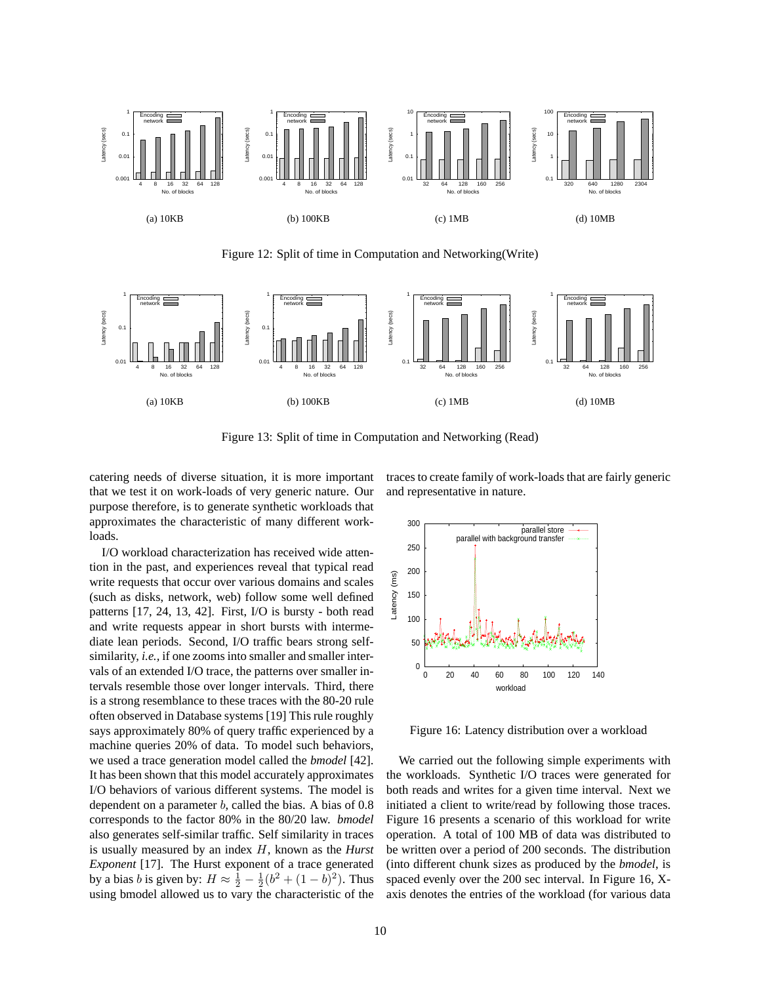

Figure 12: Split of time in Computation and Networking(Write)



Figure 13: Split of time in Computation and Networking (Read)

catering needs of diverse situation, it is more important that we test it on work-loads of very generic nature. Our purpose therefore, is to generate synthetic workloads that approximates the characteristic of many different workloads.

I/O workload characterization has received wide attention in the past, and experiences reveal that typical read write requests that occur over various domains and scales (such as disks, network, web) follow some well defined patterns [17, 24, 13, 42]. First, I/O is bursty - both read and write requests appear in short bursts with intermediate lean periods. Second, I/O traffic bears strong selfsimilarity, *i.e.,* if one zooms into smaller and smaller intervals of an extended I/O trace, the patterns over smaller intervals resemble those over longer intervals. Third, there is a strong resemblance to these traces with the 80-20 rule often observed in Database systems [19] This rule roughly says approximately 80% of query traffic experienced by a machine queries 20% of data. To model such behaviors, we used a trace generation model called the *bmodel* [42]. It has been shown that this model accurately approximates I/O behaviors of various different systems. The model is dependent on a parameter  $b$ , called the bias. A bias of  $0.8$ corresponds to the factor 80% in the 80/20 law. *bmodel* also generates self-similar traffic. Self similarity in traces is usually measured by an index H, known as the *Hurst Exponent* [17]. The Hurst exponent of a trace generated by a bias *b* is given by:  $H \approx \frac{1}{2} - \frac{1}{2}(b^2 + (1 - b)^2)$ . Thus using bmodel allowed us to vary the characteristic of the

traces to create family of work-loads that are fairly generic and representative in nature.



Figure 16: Latency distribution over a workload

We carried out the following simple experiments with the workloads. Synthetic I/O traces were generated for both reads and writes for a given time interval. Next we initiated a client to write/read by following those traces. Figure 16 presents a scenario of this workload for write operation. A total of 100 MB of data was distributed to be written over a period of 200 seconds. The distribution (into different chunk sizes as produced by the *bmodel*, is spaced evenly over the 200 sec interval. In Figure 16, Xaxis denotes the entries of the workload (for various data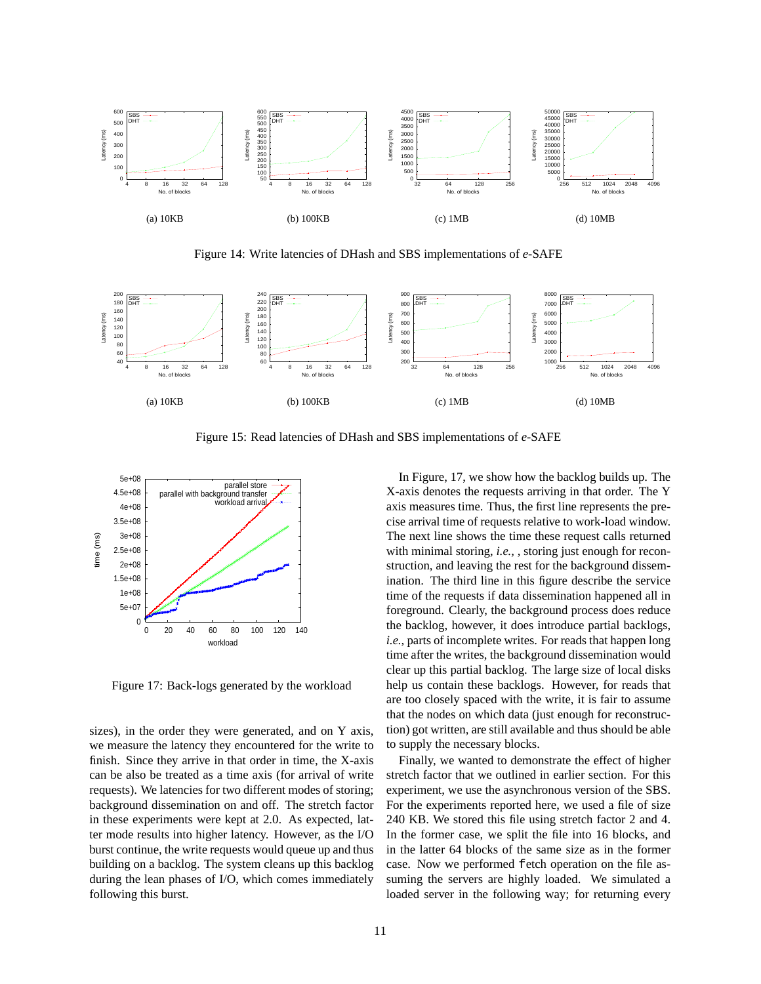

Figure 14: Write latencies of DHash and SBS implementations of *e*-SAFE



Figure 15: Read latencies of DHash and SBS implementations of *e*-SAFE



Figure 17: Back-logs generated by the workload

sizes), in the order they were generated, and on Y axis, we measure the latency they encountered for the write to finish. Since they arrive in that order in time, the X-axis can be also be treated as a time axis (for arrival of write requests). We latencies for two different modes of storing; background dissemination on and off. The stretch factor in these experiments were kept at 2.0. As expected, latter mode results into higher latency. However, as the I/O burst continue, the write requests would queue up and thus building on a backlog. The system cleans up this backlog during the lean phases of I/O, which comes immediately following this burst.

In Figure, 17, we show how the backlog builds up. The X-axis denotes the requests arriving in that order. The Y axis measures time. Thus, the first line represents the precise arrival time of requests relative to work-load window. The next line shows the time these request calls returned with minimal storing, *i.e.,* , storing just enough for reconstruction, and leaving the rest for the background dissemination. The third line in this figure describe the service time of the requests if data dissemination happened all in foreground. Clearly, the background process does reduce the backlog, however, it does introduce partial backlogs, *i.e.,* parts of incomplete writes. For reads that happen long time after the writes, the background dissemination would clear up this partial backlog. The large size of local disks help us contain these backlogs. However, for reads that are too closely spaced with the write, it is fair to assume that the nodes on which data (just enough for reconstruction) got written, are still available and thus should be able to supply the necessary blocks.

Finally, we wanted to demonstrate the effect of higher stretch factor that we outlined in earlier section. For this experiment, we use the asynchronous version of the SBS. For the experiments reported here, we used a file of size 240 KB. We stored this file using stretch factor 2 and 4. In the former case, we split the file into 16 blocks, and in the latter 64 blocks of the same size as in the former case. Now we performed fetch operation on the file assuming the servers are highly loaded. We simulated a loaded server in the following way; for returning every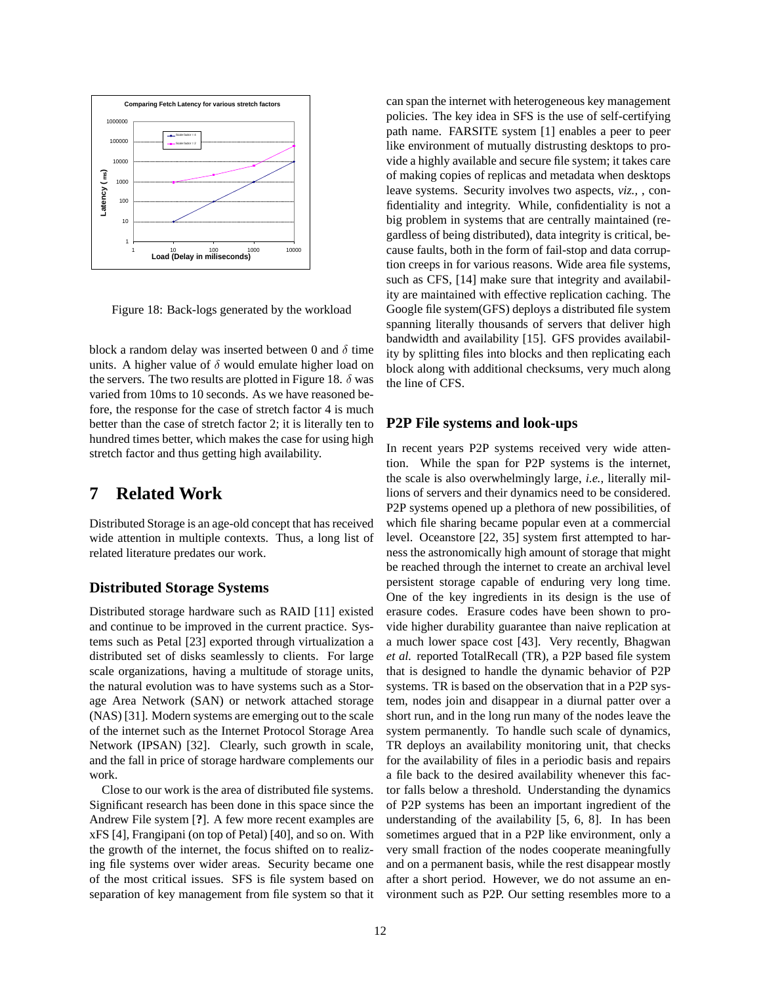

Figure 18: Back-logs generated by the workload

block a random delay was inserted between 0 and  $\delta$  time units. A higher value of  $\delta$  would emulate higher load on the servers. The two results are plotted in Figure 18.  $\delta$  was varied from 10ms to 10 seconds. As we have reasoned before, the response for the case of stretch factor 4 is much better than the case of stretch factor 2; it is literally ten to hundred times better, which makes the case for using high stretch factor and thus getting high availability.

# **7 Related Work**

Distributed Storage is an age-old concept that has received wide attention in multiple contexts. Thus, a long list of related literature predates our work.

### **Distributed Storage Systems**

Distributed storage hardware such as RAID [11] existed and continue to be improved in the current practice. Systems such as Petal [23] exported through virtualization a distributed set of disks seamlessly to clients. For large scale organizations, having a multitude of storage units, the natural evolution was to have systems such as a Storage Area Network (SAN) or network attached storage (NAS) [31]. Modern systems are emerging out to the scale of the internet such as the Internet Protocol Storage Area Network (IPSAN) [32]. Clearly, such growth in scale, and the fall in price of storage hardware complements our work.

Close to our work is the area of distributed file systems. Significant research has been done in this space since the Andrew File system [**?**]. A few more recent examples are xFS [4], Frangipani (on top of Petal) [40], and so on. With the growth of the internet, the focus shifted on to realizing file systems over wider areas. Security became one of the most critical issues. SFS is file system based on separation of key management from file system so that it can span the internet with heterogeneous key management policies. The key idea in SFS is the use of self-certifying path name. FARSITE system [1] enables a peer to peer like environment of mutually distrusting desktops to provide a highly available and secure file system; it takes care of making copies of replicas and metadata when desktops leave systems. Security involves two aspects, *viz.,* , confidentiality and integrity. While, confidentiality is not a big problem in systems that are centrally maintained (regardless of being distributed), data integrity is critical, because faults, both in the form of fail-stop and data corruption creeps in for various reasons. Wide area file systems, such as CFS, [14] make sure that integrity and availability are maintained with effective replication caching. The Google file system(GFS) deploys a distributed file system spanning literally thousands of servers that deliver high bandwidth and availability [15]. GFS provides availability by splitting files into blocks and then replicating each block along with additional checksums, very much along the line of CFS.

### **P2P File systems and look-ups**

In recent years P2P systems received very wide attention. While the span for P2P systems is the internet, the scale is also overwhelmingly large, *i.e.,* literally millions of servers and their dynamics need to be considered. P2P systems opened up a plethora of new possibilities, of which file sharing became popular even at a commercial level. Oceanstore [22, 35] system first attempted to harness the astronomically high amount of storage that might be reached through the internet to create an archival level persistent storage capable of enduring very long time. One of the key ingredients in its design is the use of erasure codes. Erasure codes have been shown to provide higher durability guarantee than naive replication at a much lower space cost [43]. Very recently, Bhagwan *et al.* reported TotalRecall (TR), a P2P based file system that is designed to handle the dynamic behavior of P2P systems. TR is based on the observation that in a P2P system, nodes join and disappear in a diurnal patter over a short run, and in the long run many of the nodes leave the system permanently. To handle such scale of dynamics, TR deploys an availability monitoring unit, that checks for the availability of files in a periodic basis and repairs a file back to the desired availability whenever this factor falls below a threshold. Understanding the dynamics of P2P systems has been an important ingredient of the understanding of the availability [5, 6, 8]. In has been sometimes argued that in a P2P like environment, only a very small fraction of the nodes cooperate meaningfully and on a permanent basis, while the rest disappear mostly after a short period. However, we do not assume an environment such as P2P. Our setting resembles more to a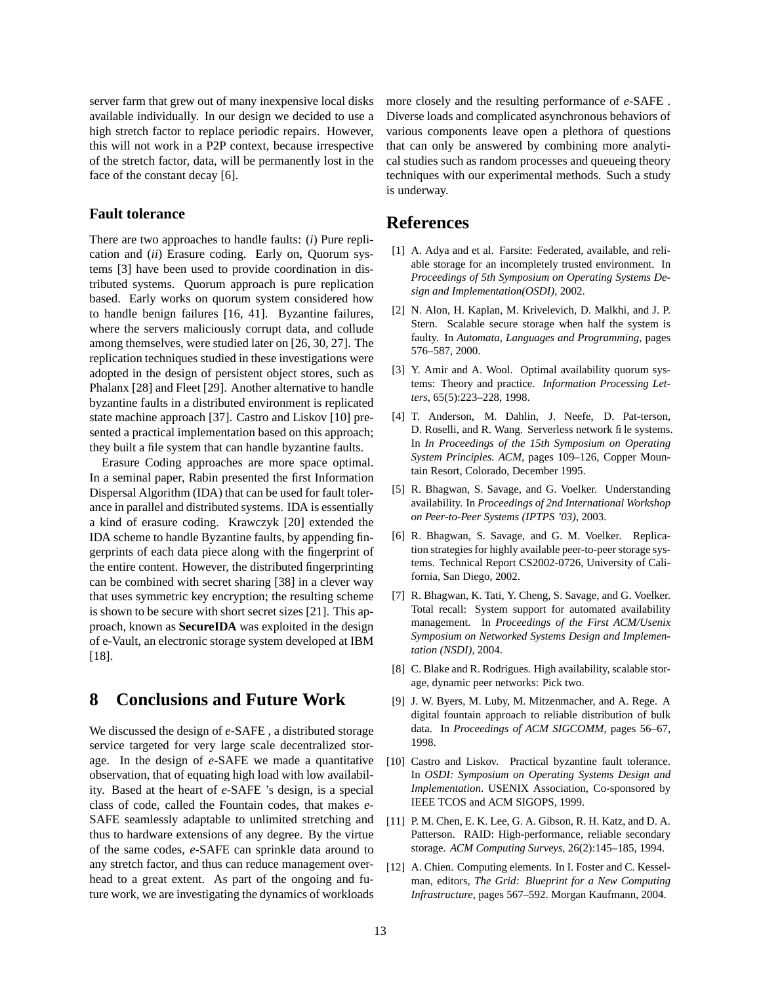server farm that grew out of many inexpensive local disks available individually. In our design we decided to use a high stretch factor to replace periodic repairs. However, this will not work in a P2P context, because irrespective of the stretch factor, data, will be permanently lost in the face of the constant decay [6].

### **Fault tolerance**

There are two approaches to handle faults: (*i*) Pure replication and (*ii*) Erasure coding. Early on, Quorum systems [3] have been used to provide coordination in distributed systems. Quorum approach is pure replication based. Early works on quorum system considered how to handle benign failures [16, 41]. Byzantine failures, where the servers maliciously corrupt data, and collude among themselves, were studied later on [26, 30, 27]. The replication techniques studied in these investigations were adopted in the design of persistent object stores, such as Phalanx [28] and Fleet [29]. Another alternative to handle byzantine faults in a distributed environment is replicated state machine approach [37]. Castro and Liskov [10] presented a practical implementation based on this approach; they built a file system that can handle byzantine faults.

Erasure Coding approaches are more space optimal. In a seminal paper, Rabin presented the first Information Dispersal Algorithm (IDA) that can be used for fault tolerance in parallel and distributed systems. IDA is essentially a kind of erasure coding. Krawczyk [20] extended the IDA scheme to handle Byzantine faults, by appending fingerprints of each data piece along with the fingerprint of the entire content. However, the distributed fingerprinting can be combined with secret sharing [38] in a clever way that uses symmetric key encryption; the resulting scheme is shown to be secure with short secret sizes [21]. This approach, known as **SecureIDA** was exploited in the design of e-Vault, an electronic storage system developed at IBM [18].

# **8 Conclusions and Future Work**

We discussed the design of *e*-SAFE , a distributed storage service targeted for very large scale decentralized storage. In the design of *e*-SAFE we made a quantitative observation, that of equating high load with low availability. Based at the heart of *e*-SAFE 's design, is a special class of code, called the Fountain codes, that makes *e*-SAFE seamlessly adaptable to unlimited stretching and thus to hardware extensions of any degree. By the virtue of the same codes, *e*-SAFE can sprinkle data around to any stretch factor, and thus can reduce management overhead to a great extent. As part of the ongoing and future work, we are investigating the dynamics of workloads more closely and the resulting performance of *e*-SAFE . Diverse loads and complicated asynchronous behaviors of various components leave open a plethora of questions that can only be answered by combining more analytical studies such as random processes and queueing theory techniques with our experimental methods. Such a study is underway.

## **References**

- [1] A. Adya and et al. Farsite: Federated, available, and reliable storage for an incompletely trusted environment. In *Proceedings of 5th Symposium on Operating Systems Design and Implementation(OSDI)*, 2002.
- [2] N. Alon, H. Kaplan, M. Krivelevich, D. Malkhi, and J. P. Stern. Scalable secure storage when half the system is faulty. In *Automata, Languages and Programming*, pages 576–587, 2000.
- [3] Y. Amir and A. Wool. Optimal availability quorum systems: Theory and practice. *Information Processing Letters*, 65(5):223–228, 1998.
- [4] T. Anderson, M. Dahlin, J. Neefe, D. Pat-terson, D. Roselli, and R. Wang. Serverless network file systems. In *In Proceedings of the 15th Symposium on Operating System Principles. ACM*, pages 109–126, Copper Mountain Resort, Colorado, December 1995.
- [5] R. Bhagwan, S. Savage, and G. Voelker. Understanding availability. In *Proceedings of 2nd International Workshop on Peer-to-Peer Systems (IPTPS '03)*, 2003.
- [6] R. Bhagwan, S. Savage, and G. M. Voelker. Replication strategies for highly available peer-to-peer storage systems. Technical Report CS2002-0726, University of California, San Diego, 2002.
- [7] R. Bhagwan, K. Tati, Y. Cheng, S. Savage, and G. Voelker. Total recall: System support for automated availability management. In *Proceedings of the First ACM/Usenix Symposium on Networked Systems Design and Implementation (NSDI)*, 2004.
- [8] C. Blake and R. Rodrigues. High availability, scalable storage, dynamic peer networks: Pick two.
- [9] J. W. Byers, M. Luby, M. Mitzenmacher, and A. Rege. A digital fountain approach to reliable distribution of bulk data. In *Proceedings of ACM SIGCOMM*, pages 56–67, 1998.
- [10] Castro and Liskov. Practical byzantine fault tolerance. In *OSDI: Symposium on Operating Systems Design and Implementation*. USENIX Association, Co-sponsored by IEEE TCOS and ACM SIGOPS, 1999.
- [11] P. M. Chen, E. K. Lee, G. A. Gibson, R. H. Katz, and D. A. Patterson. RAID: High-performance, reliable secondary storage. *ACM Computing Surveys*, 26(2):145–185, 1994.
- [12] A. Chien. Computing elements. In I. Foster and C. Kesselman, editors, *The Grid: Blueprint for a New Computing Infrastructure*, pages 567–592. Morgan Kaufmann, 2004.